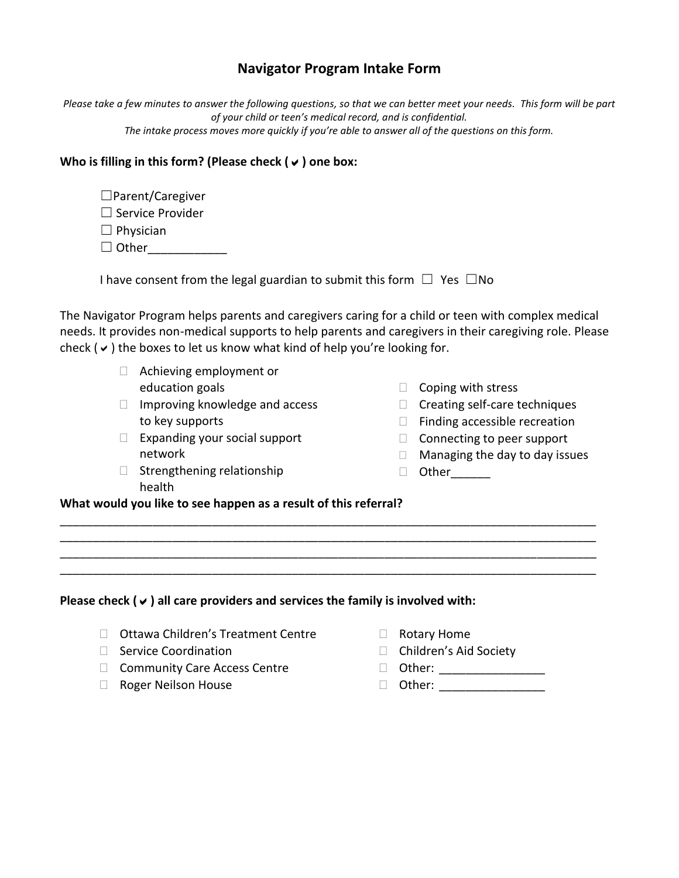## **Navigator Program Intake Form**

*Please take a few minutes to answer the following questions, so that we can better meet your needs. This form will be part of your child or teen's medical record, and is confidential. The intake process moves more quickly if you're able to answer all of the questions on this form.*

## **Who is filling in this form? (Please check () one box:**

| $\Box$ Parent/Caregiver |
|-------------------------|
| $\Box$ Service Provider |
| $\Box$ Physician        |

□ Other\_\_\_\_\_\_\_\_\_\_\_\_\_\_\_

| I have consent from the legal guardian to submit this form $\Box$ Yes $\Box$ No |  |  |  |  |
|---------------------------------------------------------------------------------|--|--|--|--|
|---------------------------------------------------------------------------------|--|--|--|--|

The Navigator Program helps parents and caregivers caring for a child or teen with complex medical needs. It provides non-medical supports to help parents and caregivers in their caregiving role. Please check ( $\vee$ ) the boxes to let us know what kind of help you're looking for.

\_\_\_\_\_\_\_\_\_\_\_\_\_\_\_\_\_\_\_\_\_\_\_\_\_\_\_\_\_\_\_\_\_\_\_\_\_\_\_\_\_\_\_\_\_\_\_\_\_\_\_\_\_\_\_\_\_\_\_\_\_\_\_\_\_\_\_\_\_\_\_\_\_\_\_\_\_\_\_\_\_ \_\_\_\_\_\_\_\_\_\_\_\_\_\_\_\_\_\_\_\_\_\_\_\_\_\_\_\_\_\_\_\_\_\_\_\_\_\_\_\_\_\_\_\_\_\_\_\_\_\_\_\_\_\_\_\_\_\_\_\_\_\_\_\_\_\_\_\_\_\_\_\_\_\_\_\_\_\_\_\_\_ \_\_\_\_\_\_\_\_\_\_\_\_\_\_\_\_\_\_\_\_\_\_\_\_\_\_\_\_\_\_\_\_\_\_\_\_\_\_\_\_\_\_\_\_\_\_\_\_\_\_\_\_\_\_\_\_\_\_\_\_\_\_\_\_\_\_\_\_\_\_\_\_\_\_\_\_\_\_\_\_\_ \_\_\_\_\_\_\_\_\_\_\_\_\_\_\_\_\_\_\_\_\_\_\_\_\_\_\_\_\_\_\_\_\_\_\_\_\_\_\_\_\_\_\_\_\_\_\_\_\_\_\_\_\_\_\_\_\_\_\_\_\_\_\_\_\_\_\_\_\_\_\_\_\_\_\_\_\_\_\_\_\_

- Achieving employment or education goals
- □ Improving knowledge and access to key supports
- $\Box$  Expanding your social support network
- $\Box$  Strengthening relationship health
- $\Box$  Coping with stress
- $\Box$  Creating self-care techniques
- $\Box$  Finding accessible recreation
- $\Box$  Connecting to peer support
- $\Box$  Managing the day to day issues
- Other\_\_\_\_\_\_

**What would you like to see happen as a result of this referral?**

**Please check () all care providers and services the family is involved with:**

- □ Ottawa Children's Treatment Centre
- $\Box$  Service Coordination
- □ Community Care Access Centre
- □ Roger Neilson House
- □ Rotary Home
- □ Children's Aid Society
- □ Other: \_\_\_\_\_\_\_\_\_\_\_\_\_\_\_\_\_\_\_\_
- Other: \_\_\_\_\_\_\_\_\_\_\_\_\_\_\_\_